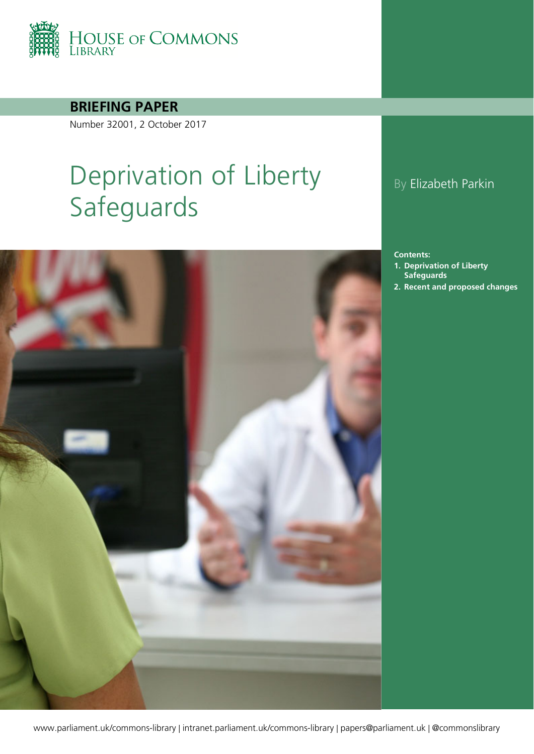

**BRIEFING PAPER**

Number 32001, 2 October 2017

# Deprivation of Liberty Safeguards



### By Elizabeth Parkin

**Contents:**

- **1. [Deprivation of Liberty](#page-3-0)  [Safeguards](#page-3-0)**
- **2. [Recent and proposed changes](#page-6-0)**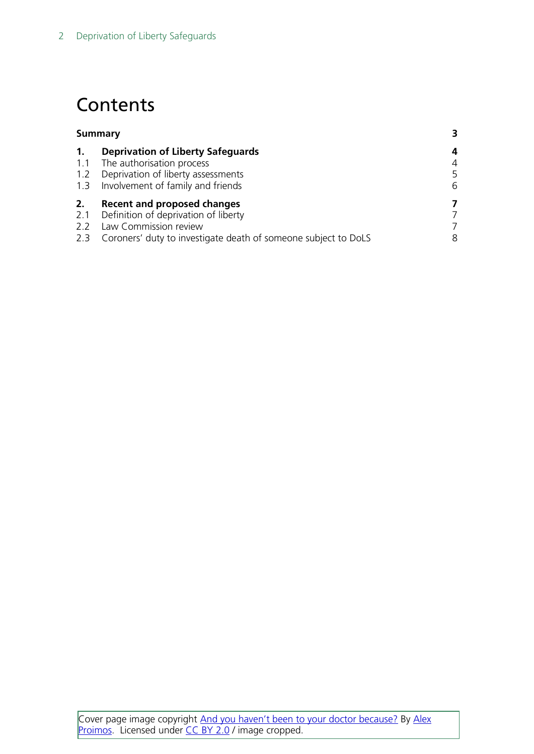## **Contents**

| <b>Summary</b> |                                                                | 3 |
|----------------|----------------------------------------------------------------|---|
| $\mathbf{1}$ . | <b>Deprivation of Liberty Safeguards</b>                       | 4 |
| 1.1            | The authorisation process                                      | 4 |
| 1.2            | Deprivation of liberty assessments                             | 5 |
| 1.3            | Involvement of family and friends                              | 6 |
| 2.             | <b>Recent and proposed changes</b>                             | 7 |
| 2.1            | Definition of deprivation of liberty                           | 7 |
| 2.2            | Law Commission review                                          | 7 |
| 2.3            | Coroners' duty to investigate death of someone subject to DoLS | 8 |
|                |                                                                |   |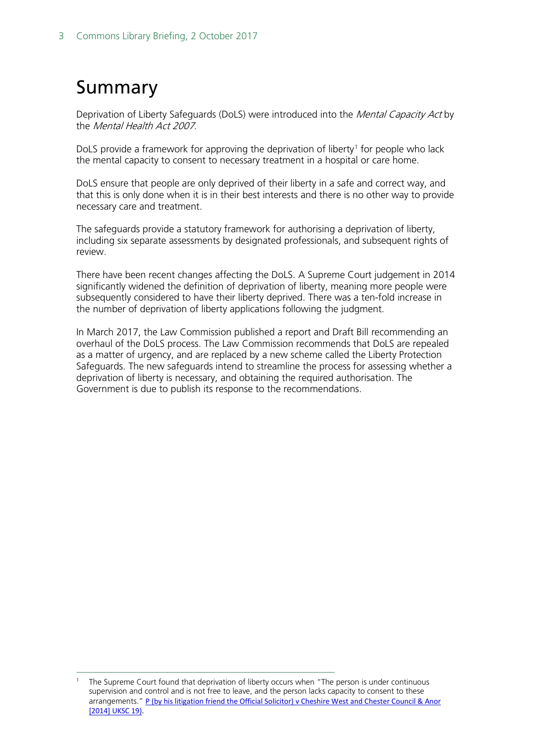## <span id="page-2-0"></span>Summary

Deprivation of Liberty Safeguards (DoLS) were introduced into the *Mental Capacity Act* by the *Mental Health Act 2007*.

DoLS provide a framework for approving the deprivation of liberty<sup>[1](#page-2-1)</sup> for people who lack the mental capacity to consent to necessary treatment in a hospital or care home.

DoLS ensure that people are only deprived of their liberty in a safe and correct way, and that this is only done when it is in their best interests and there is no other way to provide necessary care and treatment.

The safeguards provide a statutory framework for authorising a deprivation of liberty, including six separate assessments by designated professionals, and subsequent rights of review.

There have been recent changes affecting the DoLS. A Supreme Court judgement in 2014 significantly widened the definition of deprivation of liberty, meaning more people were subsequently considered to have their liberty deprived. There was a ten-fold increase in the number of deprivation of liberty applications following the judgment.

In March 2017, the Law Commission published a report and Draft Bill recommending an overhaul of the DoLS process. The Law Commission recommends that DoLS are repealed as a matter of urgency, and are replaced by a new scheme called the Liberty Protection Safeguards. The new safeguards intend to streamline the process for assessing whether a deprivation of liberty is necessary, and obtaining the required authorisation. The Government is due to publish its response to the recommendations.

<span id="page-2-1"></span> <sup>1</sup> The Supreme Court found that deprivation of liberty occurs when "The person is under continuous supervision and control and is not free to leave, and the person lacks capacity to consent to these arrangements." P (by his litigation friend the Official Solicitor) v Cheshire West and Chester Council & Anor [2014] UKSC 19).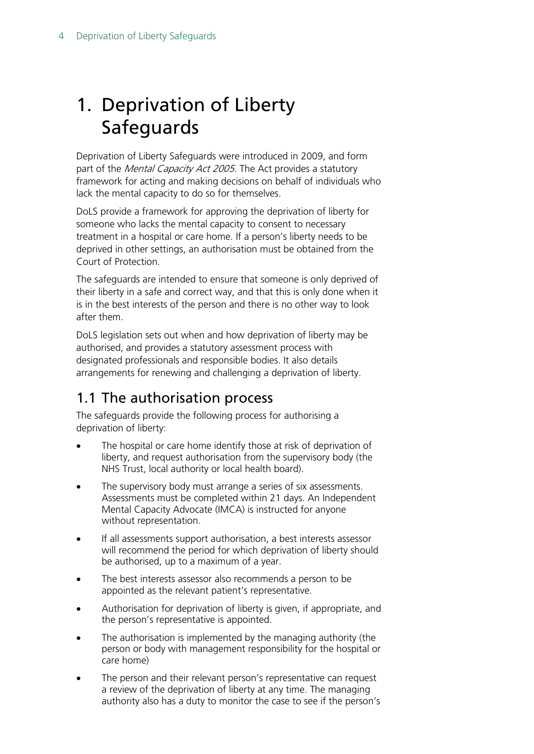## <span id="page-3-0"></span>1. Deprivation of Liberty Safeguards

Deprivation of Liberty Safeguards were introduced in 2009, and form part of the *Mental Capacity Act 2005*. The Act provides a statutory framework for acting and making decisions on behalf of individuals who lack the mental capacity to do so for themselves.

DoLS provide a framework for approving the deprivation of liberty for someone who lacks the mental capacity to consent to necessary treatment in a hospital or care home. If a person's liberty needs to be deprived in other settings, an authorisation must be obtained from the Court of Protection.

The safeguards are intended to ensure that someone is only deprived of their liberty in a safe and correct way, and that this is only done when it is in the best interests of the person and there is no other way to look after them.

DoLS legislation sets out when and how deprivation of liberty may be authorised, and provides a statutory assessment process with designated professionals and responsible bodies. It also details arrangements for renewing and challenging a deprivation of liberty.

## <span id="page-3-1"></span>1.1 The authorisation process

The safeguards provide the following process for authorising a deprivation of liberty:

- The hospital or care home identify those at risk of deprivation of liberty, and request authorisation from the supervisory body (the NHS Trust, local authority or local health board).
- The supervisory body must arrange a series of six assessments. Assessments must be completed within 21 days. An Independent Mental Capacity Advocate (IMCA) is instructed for anyone without representation.
- If all assessments support authorisation, a best interests assessor will recommend the period for which deprivation of liberty should be authorised, up to a maximum of a year.
- The best interests assessor also recommends a person to be appointed as the relevant patient's representative.
- Authorisation for deprivation of liberty is given, if appropriate, and the person's representative is appointed.
- The authorisation is implemented by the managing authority (the person or body with management responsibility for the hospital or care home)
- The person and their relevant person's representative can request a review of the deprivation of liberty at any time. The managing authority also has a duty to monitor the case to see if the person's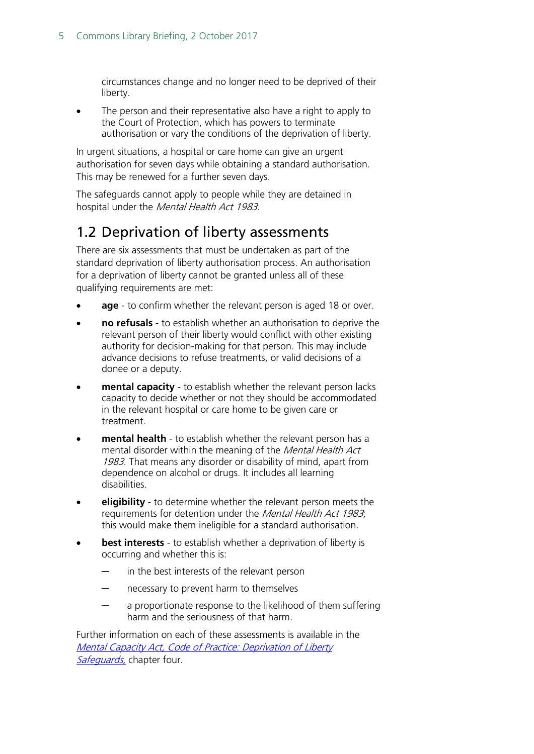circumstances change and no longer need to be deprived of their liberty.

The person and their representative also have a right to apply to the Court of Protection, which has powers to terminate authorisation or vary the conditions of the deprivation of liberty.

In urgent situations, a hospital or care home can give an urgent authorisation for seven days while obtaining a standard authorisation. This may be renewed for a further seven days.

The safeguards cannot apply to people while they are detained in hospital under the Mental Health Act 1983.

### <span id="page-4-0"></span>1.2 Deprivation of liberty assessments

There are six assessments that must be undertaken as part of the standard deprivation of liberty authorisation process. An authorisation for a deprivation of liberty cannot be granted unless all of these qualifying requirements are met:

- age to confirm whether the relevant person is aged 18 or over.
- **no refusals** to establish whether an authorisation to deprive the relevant person of their liberty would conflict with other existing authority for decision-making for that person. This may include advance decisions to refuse treatments, or valid decisions of a donee or a deputy.
- **mental capacity** to establish whether the relevant person lacks capacity to decide whether or not they should be accommodated in the relevant hospital or care home to be given care or treatment.
- **mental health**  to establish whether the relevant person has a mental disorder within the meaning of the Mental Health Act 1983. That means any disorder or disability of mind, apart from dependence on alcohol or drugs. It includes all learning disabilities.
- **eligibility** to determine whether the relevant person meets the requirements for detention under the Mental Health Act 1983; this would make them ineligible for a standard authorisation.
- **best interests** to establish whether a deprivation of liberty is occurring and whether this is:
	- in the best interests of the relevant person
	- necessary to prevent harm to themselves
	- a proportionate response to the likelihood of them suffering harm and the seriousness of that harm.

Further information on each of these assessments is available in the [Mental Capacity Act, Code of Practice: Deprivation of Liberty](http://webarchive.nationalarchives.gov.uk/20130107105354/http:/www.dh.gov.uk/prod_consum_dh/groups/dh_digitalassets/@dh/@en/documents/digitalasset/dh_087309.pdf)  [Safeguards,](http://webarchive.nationalarchives.gov.uk/20130107105354/http:/www.dh.gov.uk/prod_consum_dh/groups/dh_digitalassets/@dh/@en/documents/digitalasset/dh_087309.pdf) chapter four.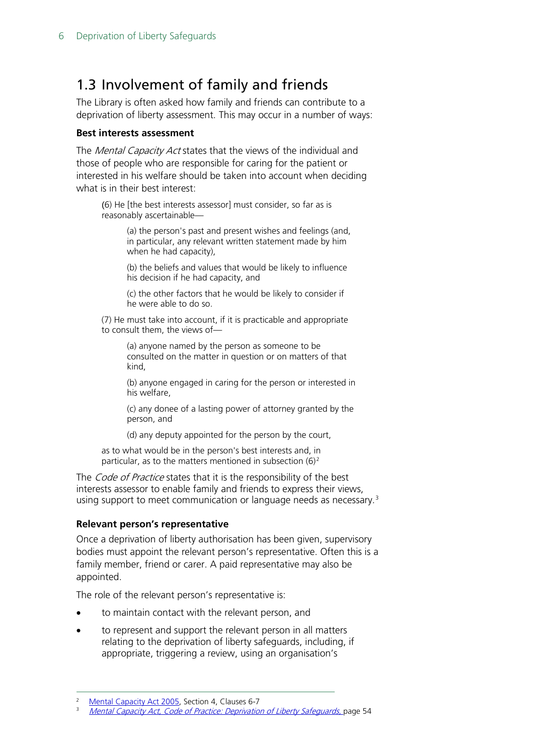## <span id="page-5-0"></span>1.3 Involvement of family and friends

The Library is often asked how family and friends can contribute to a deprivation of liberty assessment. This may occur in a number of ways:

#### **Best interests assessment**

The *Mental Capacity Act* states that the views of the individual and those of people who are responsible for caring for the patient or interested in his welfare should be taken into account when deciding what is in their best interest:

(6) He [the best interests assessor] must consider, so far as is reasonably ascertainable—

> (a) the person's past and present wishes and feelings (and, in particular, any relevant written statement made by him when he had capacity),

(b) the beliefs and values that would be likely to influence his decision if he had capacity, and

(c) the other factors that he would be likely to consider if he were able to do so.

(7) He must take into account, if it is practicable and appropriate to consult them, the views of—

> (a) anyone named by the person as someone to be consulted on the matter in question or on matters of that kind,

(b) anyone engaged in caring for the person or interested in his welfare,

(c) any donee of a lasting power of attorney granted by the person, and

(d) any deputy appointed for the person by the court,

as to what would be in the person's best interests and, in particular, as to the matters mentioned in subsection  $(6)^2$  $(6)^2$ 

The *Code of Practice* states that it is the responsibility of the best interests assessor to enable family and friends to express their views, using support to meet communication or language needs as necessary.<sup>[3](#page-5-2)</sup>

#### **Relevant person's representative**

Once a deprivation of liberty authorisation has been given, supervisory bodies must appoint the relevant person's representative. Often this is a family member, friend or carer. A paid representative may also be appointed.

The role of the relevant person's representative is:

- to maintain contact with the relevant person, and
- to represent and support the relevant person in all matters relating to the deprivation of liberty safeguards, including, if appropriate, triggering a review, using an organisation's

<span id="page-5-1"></span> <sup>2</sup> [Mental Capacity Act 2005,](https://www.legislation.gov.uk/ukpga/2005/9/section/4) Section 4, Clauses 6-7

<span id="page-5-2"></span>[Mental Capacity Act, Code of Practice: Deprivation of Liberty Safeguards,](http://webarchive.nationalarchives.gov.uk/20130107105354/http:/www.dh.gov.uk/prod_consum_dh/groups/dh_digitalassets/@dh/@en/documents/digitalasset/dh_087309.pdf) page 54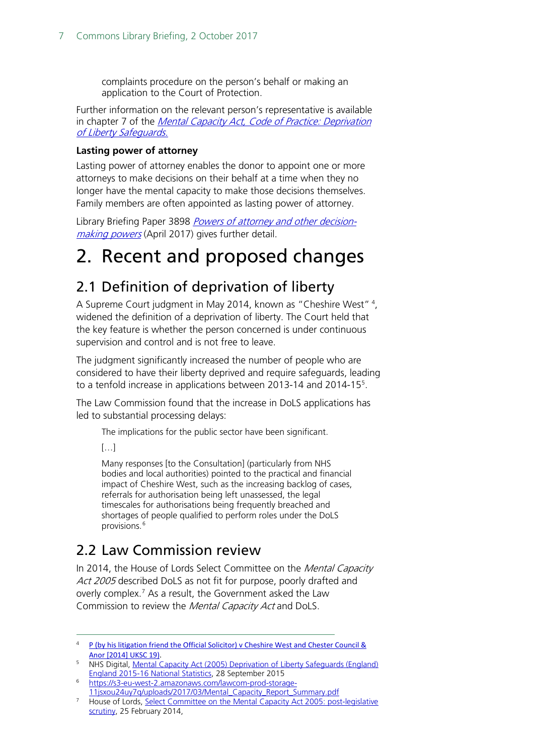complaints procedure on the person's behalf or making an application to the Court of Protection.

Further information on the relevant person's representative is available in chapter 7 of the *Mental Capacity Act, Code of Practice: Deprivation* [of Liberty Safeguards.](http://webarchive.nationalarchives.gov.uk/20130107105354/http:/www.dh.gov.uk/prod_consum_dh/groups/dh_digitalassets/@dh/@en/documents/digitalasset/dh_087309.pdf)

#### **Lasting power of attorney**

Lasting power of attorney enables the donor to appoint one or more attorneys to make decisions on their behalf at a time when they no longer have the mental capacity to make those decisions themselves. Family members are often appointed as lasting power of attorney.

Library Briefing Paper 3898 [Powers of attorney and other](http://researchbriefings.parliament.uk/ResearchBriefing/Summary/SN03898) decision[making powers](http://researchbriefings.parliament.uk/ResearchBriefing/Summary/SN03898) (April 2017) gives further detail.

## <span id="page-6-0"></span>2. Recent and proposed changes

## <span id="page-6-1"></span>2.1 Definition of deprivation of liberty

A Supreme Court judgment in May 201[4](#page-6-3), known as "Cheshire West" <sup>4</sup>, widened the definition of a deprivation of liberty. The Court held that the key feature is whether the person concerned is under continuous supervision and control and is not free to leave.

The judgment significantly increased the number of people who are considered to have their liberty deprived and require safeguards, leading to a tenfold increase in applications between 2013-14 and 2014-15<sup>5</sup>.

The Law Commission found that the increase in DoLS applications has led to substantial processing delays:

The implications for the public sector have been significant.

 $[...]$ 

Many responses [to the Consultation] (particularly from NHS bodies and local authorities) pointed to the practical and financial impact of Cheshire West, such as the increasing backlog of cases, referrals for authorisation being left unassessed, the legal timescales for authorisations being frequently breached and shortages of people qualified to perform roles under the DoLS provisions.<sup>[6](#page-6-5)</sup>

## <span id="page-6-2"></span>2.2 Law Commission review

In 2014, the House of Lords Select Committee on the Mental Capacity Act 2005 described DoLS as not fit for purpose, poorly drafted and overly complex.[7](#page-6-6) As a result, the Government asked the Law Commission to review the Mental Capacity Act and DoLS.

<span id="page-6-3"></span><sup>&</sup>lt;sup>4</sup> P (by his litigation friend the Official Solicitor) v Cheshire West and Chester Council & [Anor \[2014\] UKSC 19\).](https://www.supremecourt.uk/decided-cases/docs/UKSC_2012_0068_Judgment.pdf)

<span id="page-6-4"></span><sup>5</sup> NHS Digital, [Mental Capacity Act \(2005\) Deprivation of Liberty Safeguards \(England\)](https://www.gov.uk/government/uploads/system/uploads/attachment_data/file/556032/Deprivation_of_Liberty_Safeguards__England___Annual_Report_2015-16.pdf)  [England 2015-16 National Statistics,](https://www.gov.uk/government/uploads/system/uploads/attachment_data/file/556032/Deprivation_of_Liberty_Safeguards__England___Annual_Report_2015-16.pdf) 28 September 2015

<span id="page-6-5"></span>[https://s3-eu-west-2.amazonaws.com/lawcom-prod-storage-](https://s3-eu-west-2.amazonaws.com/lawcom-prod-storage-11jsxou24uy7q/uploads/2017/03/Mental_Capacity_Report_Summary.pdf)[11jsxou24uy7q/uploads/2017/03/Mental\\_Capacity\\_Report\\_Summary.pdf](https://s3-eu-west-2.amazonaws.com/lawcom-prod-storage-11jsxou24uy7q/uploads/2017/03/Mental_Capacity_Report_Summary.pdf)

<span id="page-6-6"></span><sup>&</sup>lt;sup>7</sup> House of Lords, Select Committee on the Mental Capacity Act 2005: post-legislative [scrutiny,](https://publications.parliament.uk/pa/ld201314/ldselect/ldmentalcap/139/13902.htm) 25 February 2014,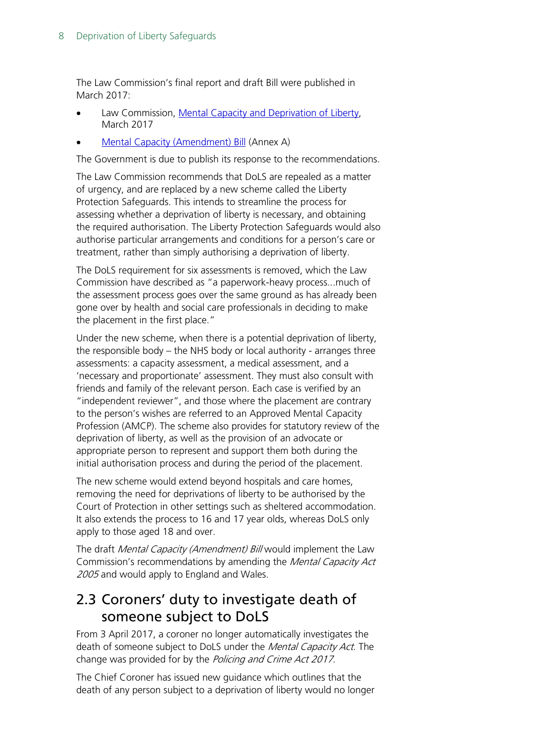The Law Commission's final report and draft Bill were published in March 2017:

- Law Commission, [Mental Capacity and Deprivation of Liberty,](http://www.lawcom.gov.uk/app/uploads/2017/03/lc372_mental_capacity.pdf) March 2017
- [Mental Capacity \(Amendment\) Bill](http://www.lawcom.gov.uk/app/uploads/2017/03/lc372_mental_capacity.pdf) (Annex A)

The Government is due to publish its response to the recommendations.

The Law Commission recommends that DoLS are repealed as a matter of urgency, and are replaced by a new scheme called the Liberty Protection Safeguards. This intends to streamline the process for assessing whether a deprivation of liberty is necessary, and obtaining the required authorisation. The Liberty Protection Safeguards would also authorise particular arrangements and conditions for a person's care or treatment, rather than simply authorising a deprivation of liberty.

The DoLS requirement for six assessments is removed, which the Law Commission have described as "a paperwork-heavy process...much of the assessment process goes over the same ground as has already been gone over by health and social care professionals in deciding to make the placement in the first place."

Under the new scheme, when there is a potential deprivation of liberty, the responsible body – the NHS body or local authority - arranges three assessments: a capacity assessment, a medical assessment, and a 'necessary and proportionate' assessment. They must also consult with friends and family of the relevant person. Each case is verified by an "independent reviewer", and those where the placement are contrary to the person's wishes are referred to an Approved Mental Capacity Profession (AMCP). The scheme also provides for statutory review of the deprivation of liberty, as well as the provision of an advocate or appropriate person to represent and support them both during the initial authorisation process and during the period of the placement.

The new scheme would extend beyond hospitals and care homes, removing the need for deprivations of liberty to be authorised by the Court of Protection in other settings such as sheltered accommodation. It also extends the process to 16 and 17 year olds, whereas DoLS only apply to those aged 18 and over.

The draft Mental Capacity (Amendment) Bill would implement the Law Commission's recommendations by amending the Mental Capacity Act 2005 and would apply to England and Wales.

### <span id="page-7-0"></span>2.3 Coroners' duty to investigate death of someone subject to DoLS

From 3 April 2017, a coroner no longer automatically investigates the death of someone subject to DoLS under the *Mental Capacity Act*. The change was provided for by the Policing and Crime Act 2017.

The Chief Coroner has issued new guidance which outlines that the death of any person subject to a deprivation of liberty would no longer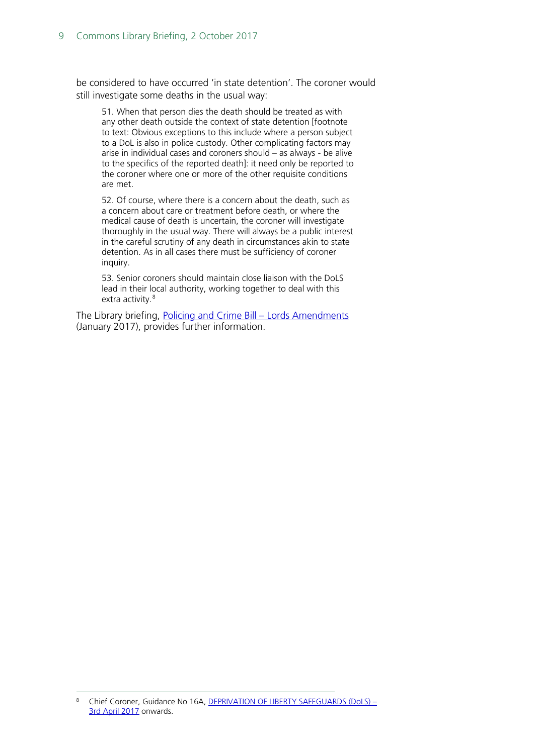be considered to have occurred 'in state detention'. The coroner would still investigate some deaths in the usual way:

51. When that person dies the death should be treated as with any other death outside the context of state detention [footnote to text: Obvious exceptions to this include where a person subject to a DoL is also in police custody. Other complicating factors may arise in individual cases and coroners should – as always - be alive to the specifics of the reported death]: it need only be reported to the coroner where one or more of the other requisite conditions are met.

52. Of course, where there is a concern about the death, such as a concern about care or treatment before death, or where the medical cause of death is uncertain, the coroner will investigate thoroughly in the usual way. There will always be a public interest in the careful scrutiny of any death in circumstances akin to state detention. As in all cases there must be sufficiency of coroner inquiry.

53. Senior coroners should maintain close liaison with the DoLS lead in their local authority, working together to deal with this extra activity.<sup>[8](#page-8-0)</sup>

The Library briefing, [Policing and Crime Bill –](http://researchbriefings.parliament.uk/ResearchBriefing/Summary/CBP-7789) Lords Amendments (January 2017), provides further information.

<span id="page-8-0"></span>Chief Coroner, Guidance No 16A, [DEPRIVATION OF LIBERTY SAFEGUARDS \(DoLS\) –](https://www.judiciary.gov.uk/wp-content/uploads/2013/10/guidance-no-16a-deprivation-of-liberty-safeguards-3-april-2017-onwards.pdf) [3rd April 2017](https://www.judiciary.gov.uk/wp-content/uploads/2013/10/guidance-no-16a-deprivation-of-liberty-safeguards-3-april-2017-onwards.pdf) onwards.